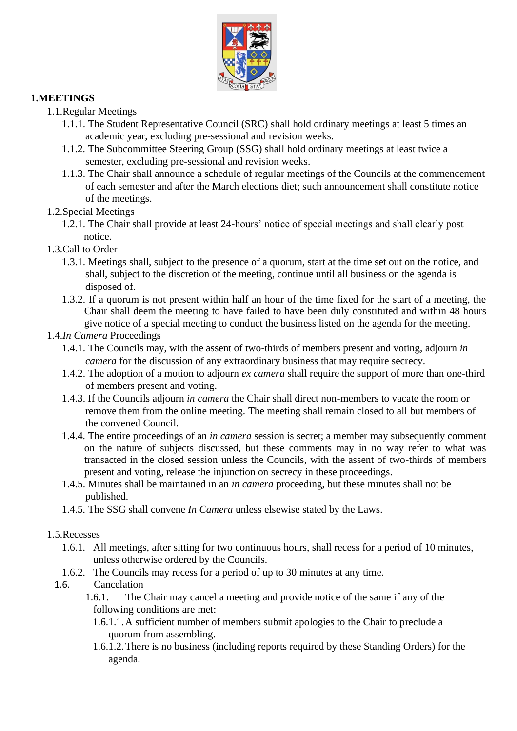

## **1.MEETINGS**

## 1.1.Regular Meetings

- 1.1.1. The Student Representative Council (SRC) shall hold ordinary meetings at least 5 times an academic year, excluding pre-sessional and revision weeks.
- 1.1.2. The Subcommittee Steering Group (SSG) shall hold ordinary meetings at least twice a semester, excluding pre-sessional and revision weeks.
- 1.1.3. The Chair shall announce a schedule of regular meetings of the Councils at the commencement of each semester and after the March elections diet; such announcement shall constitute notice of the meetings.
- 1.2.Special Meetings
	- 1.2.1. The Chair shall provide at least 24-hours' notice of special meetings and shall clearly post notice.
- 1.3.Call to Order
	- 1.3.1. Meetings shall, subject to the presence of a quorum, start at the time set out on the notice, and shall, subject to the discretion of the meeting, continue until all business on the agenda is disposed of.
	- 1.3.2. If a quorum is not present within half an hour of the time fixed for the start of a meeting, the Chair shall deem the meeting to have failed to have been duly constituted and within 48 hours give notice of a special meeting to conduct the business listed on the agenda for the meeting.

#### 1.4.*In Camera* Proceedings

- 1.4.1. The Councils may, with the assent of two-thirds of members present and voting, adjourn *in camera* for the discussion of any extraordinary business that may require secrecy.
- 1.4.2. The adoption of a motion to adjourn *ex camera* shall require the support of more than one-third of members present and voting.
- 1.4.3. If the Councils adjourn *in camera* the Chair shall direct non-members to vacate the room or remove them from the online meeting. The meeting shall remain closed to all but members of the convened Council.
- 1.4.4. The entire proceedings of an *in camera* session is secret; a member may subsequently comment on the nature of subjects discussed, but these comments may in no way refer to what was transacted in the closed session unless the Councils, with the assent of two-thirds of members present and voting, release the injunction on secrecy in these proceedings.
- 1.4.5. Minutes shall be maintained in an *in camera* proceeding, but these minutes shall not be published.
- 1.4.5. The SSG shall convene *In Camera* unless elsewise stated by the Laws.

#### 1.5.Recesses

- 1.6.1. All meetings, after sitting for two continuous hours, shall recess for a period of 10 minutes, unless otherwise ordered by the Councils.
- 1.6.2. The Councils may recess for a period of up to 30 minutes at any time.
- 1.6. Cancelation
	- 1.6.1. The Chair may cancel a meeting and provide notice of the same if any of the following conditions are met:
		- 1.6.1.1.A sufficient number of members submit apologies to the Chair to preclude a quorum from assembling.
		- 1.6.1.2.There is no business (including reports required by these Standing Orders) for the agenda.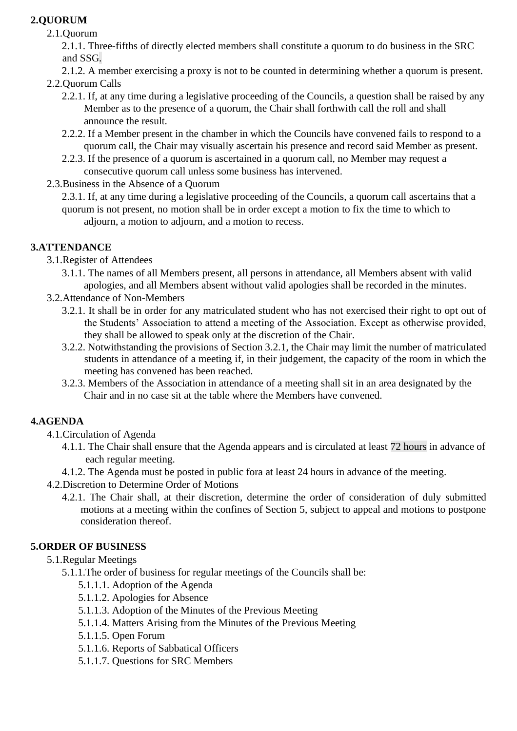# **2.QUORUM**

2.1.Quorum

2.1.1. Three-fifths of directly elected members shall constitute a quorum to do business in the SRC and SSG.

2.1.2. A member exercising a proxy is not to be counted in determining whether a quorum is present.

- 2.2.Quorum Calls
	- 2.2.1. If, at any time during a legislative proceeding of the Councils, a question shall be raised by any Member as to the presence of a quorum, the Chair shall forthwith call the roll and shall announce the result.
	- 2.2.2. If a Member present in the chamber in which the Councils have convened fails to respond to a quorum call, the Chair may visually ascertain his presence and record said Member as present.
	- 2.2.3. If the presence of a quorum is ascertained in a quorum call, no Member may request a consecutive quorum call unless some business has intervened.
- 2.3.Business in the Absence of a Quorum

2.3.1. If, at any time during a legislative proceeding of the Councils, a quorum call ascertains that a quorum is not present, no motion shall be in order except a motion to fix the time to which to adjourn, a motion to adjourn, and a motion to recess.

## **3.ATTENDANCE**

- 3.1.Register of Attendees
	- 3.1.1. The names of all Members present, all persons in attendance, all Members absent with valid apologies, and all Members absent without valid apologies shall be recorded in the minutes.
- 3.2.Attendance of Non-Members
	- 3.2.1. It shall be in order for any matriculated student who has not exercised their right to opt out of the Students' Association to attend a meeting of the Association. Except as otherwise provided, they shall be allowed to speak only at the discretion of the Chair.
	- 3.2.2. Notwithstanding the provisions of Section 3.2.1, the Chair may limit the number of matriculated students in attendance of a meeting if, in their judgement, the capacity of the room in which the meeting has convened has been reached.
	- 3.2.3. Members of the Association in attendance of a meeting shall sit in an area designated by the Chair and in no case sit at the table where the Members have convened.

## **4.AGENDA**

- 4.1.Circulation of Agenda
	- 4.1.1. The Chair shall ensure that the Agenda appears and is circulated at least 72 hours in advance of each regular meeting.
	- 4.1.2. The Agenda must be posted in public fora at least 24 hours in advance of the meeting.
- 4.2.Discretion to Determine Order of Motions
	- 4.2.1. The Chair shall, at their discretion, determine the order of consideration of duly submitted motions at a meeting within the confines of Section 5, subject to appeal and motions to postpone consideration thereof.

## **5.ORDER OF BUSINESS**

- 5.1.Regular Meetings
	- 5.1.1.The order of business for regular meetings of the Councils shall be:
		- 5.1.1.1. Adoption of the Agenda
		- 5.1.1.2. Apologies for Absence
		- 5.1.1.3. Adoption of the Minutes of the Previous Meeting
		- 5.1.1.4. Matters Arising from the Minutes of the Previous Meeting
		- 5.1.1.5. Open Forum
		- 5.1.1.6. Reports of Sabbatical Officers
		- 5.1.1.7. Questions for SRC Members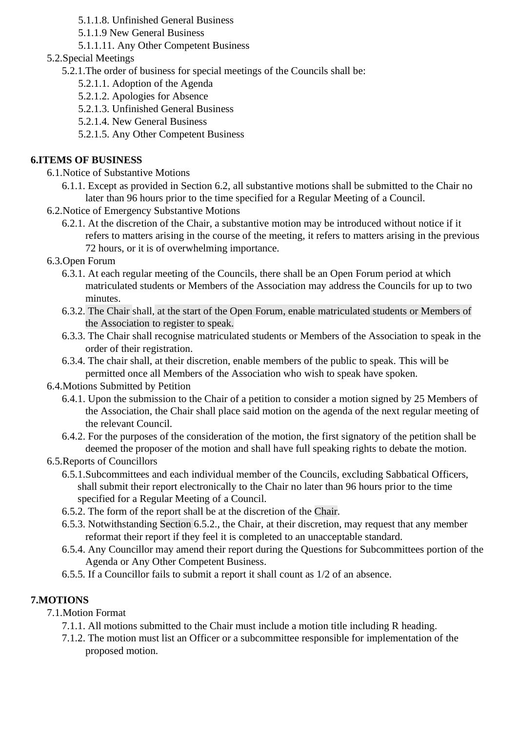5.1.1.8. Unfinished General Business

- 5.1.1.9 New General Business
- 5.1.1.11. Any Other Competent Business
- 5.2.Special Meetings
	- 5.2.1.The order of business for special meetings of the Councils shall be:
		- 5.2.1.1. Adoption of the Agenda
		- 5.2.1.2. Apologies for Absence
		- 5.2.1.3. Unfinished General Business
		- 5.2.1.4. New General Business
		- 5.2.1.5. Any Other Competent Business

### **6.ITEMS OF BUSINESS**

- 6.1.Notice of Substantive Motions
	- 6.1.1. Except as provided in Section 6.2, all substantive motions shall be submitted to the Chair no later than 96 hours prior to the time specified for a Regular Meeting of a Council.
- 6.2.Notice of Emergency Substantive Motions
	- 6.2.1. At the discretion of the Chair, a substantive motion may be introduced without notice if it refers to matters arising in the course of the meeting, it refers to matters arising in the previous 72 hours, or it is of overwhelming importance.
- 6.3.Open Forum
	- 6.3.1. At each regular meeting of the Councils, there shall be an Open Forum period at which matriculated students or Members of the Association may address the Councils for up to two minutes.
	- 6.3.2. The Chair shall, at the start of the Open Forum, enable matriculated students or Members of the Association to register to speak.
	- 6.3.3. The Chair shall recognise matriculated students or Members of the Association to speak in the order of their registration.
	- 6.3.4. The chair shall, at their discretion, enable members of the public to speak. This will be permitted once all Members of the Association who wish to speak have spoken.

#### 6.4.Motions Submitted by Petition

- 6.4.1. Upon the submission to the Chair of a petition to consider a motion signed by 25 Members of the Association, the Chair shall place said motion on the agenda of the next regular meeting of the relevant Council.
- 6.4.2. For the purposes of the consideration of the motion, the first signatory of the petition shall be deemed the proposer of the motion and shall have full speaking rights to debate the motion.

## 6.5.Reports of Councillors

- 6.5.1.Subcommittees and each individual member of the Councils, excluding Sabbatical Officers, shall submit their report electronically to the Chair no later than 96 hours prior to the time specified for a Regular Meeting of a Council.
- 6.5.2. The form of the report shall be at the discretion of the Chair.
- 6.5.3. Notwithstanding Section 6.5.2., the Chair, at their discretion, may request that any member reformat their report if they feel it is completed to an unacceptable standard.
- 6.5.4. Any Councillor may amend their report during the Questions for Subcommittees portion of the Agenda or Any Other Competent Business.
- 6.5.5. If a Councillor fails to submit a report it shall count as 1/2 of an absence.

## **7.MOTIONS**

## 7.1.Motion Format

- 7.1.1. All motions submitted to the Chair must include a motion title including R heading.
- 7.1.2. The motion must list an Officer or a subcommittee responsible for implementation of the proposed motion.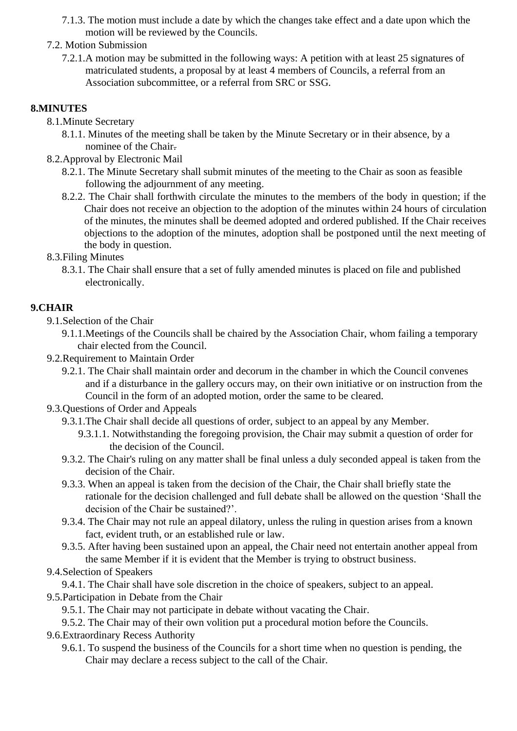- 7.1.3. The motion must include a date by which the changes take effect and a date upon which the motion will be reviewed by the Councils.
- 7.2. Motion Submission
	- 7.2.1.A motion may be submitted in the following ways: A petition with at least 25 signatures of matriculated students, a proposal by at least 4 members of Councils, a referral from an Association subcommittee, or a referral from SRC or SSG.

## **8.MINUTES**

- 8.1.Minute Secretary
	- 8.1.1. Minutes of the meeting shall be taken by the Minute Secretary or in their absence, by a nominee of the Chair.
- 8.2.Approval by Electronic Mail
	- 8.2.1. The Minute Secretary shall submit minutes of the meeting to the Chair as soon as feasible following the adjournment of any meeting.
	- 8.2.2. The Chair shall forthwith circulate the minutes to the members of the body in question; if the Chair does not receive an objection to the adoption of the minutes within 24 hours of circulation of the minutes, the minutes shall be deemed adopted and ordered published. If the Chair receives objections to the adoption of the minutes, adoption shall be postponed until the next meeting of the body in question.
- 8.3.Filing Minutes
	- 8.3.1. The Chair shall ensure that a set of fully amended minutes is placed on file and published electronically.

## **9.CHAIR**

- 9.1.Selection of the Chair
	- 9.1.1.Meetings of the Councils shall be chaired by the Association Chair, whom failing a temporary chair elected from the Council.
- 9.2.Requirement to Maintain Order
	- 9.2.1. The Chair shall maintain order and decorum in the chamber in which the Council convenes and if a disturbance in the gallery occurs may, on their own initiative or on instruction from the Council in the form of an adopted motion, order the same to be cleared.
- 9.3.Questions of Order and Appeals
	- 9.3.1.The Chair shall decide all questions of order, subject to an appeal by any Member.
		- 9.3.1.1. Notwithstanding the foregoing provision, the Chair may submit a question of order for the decision of the Council.
	- 9.3.2. The Chair's ruling on any matter shall be final unless a duly seconded appeal is taken from the decision of the Chair.
	- 9.3.3. When an appeal is taken from the decision of the Chair, the Chair shall briefly state the rationale for the decision challenged and full debate shall be allowed on the question 'Shall the decision of the Chair be sustained?'.
	- 9.3.4. The Chair may not rule an appeal dilatory, unless the ruling in question arises from a known fact, evident truth, or an established rule or law.
	- 9.3.5. After having been sustained upon an appeal, the Chair need not entertain another appeal from the same Member if it is evident that the Member is trying to obstruct business.

#### 9.4.Selection of Speakers

- 9.4.1. The Chair shall have sole discretion in the choice of speakers, subject to an appeal.
- 9.5.Participation in Debate from the Chair
	- 9.5.1. The Chair may not participate in debate without vacating the Chair.
	- 9.5.2. The Chair may of their own volition put a procedural motion before the Councils.
- 9.6.Extraordinary Recess Authority
	- 9.6.1. To suspend the business of the Councils for a short time when no question is pending, the Chair may declare a recess subject to the call of the Chair.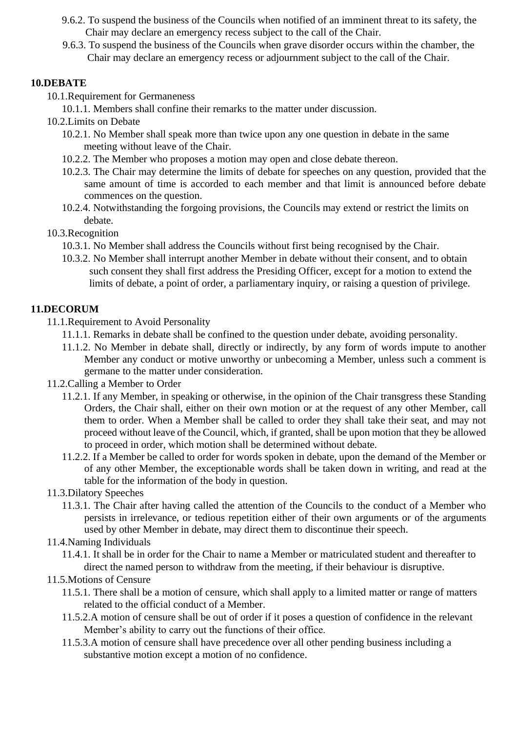- 9.6.2. To suspend the business of the Councils when notified of an imminent threat to its safety, the Chair may declare an emergency recess subject to the call of the Chair.
- 9.6.3. To suspend the business of the Councils when grave disorder occurs within the chamber, the Chair may declare an emergency recess or adjournment subject to the call of the Chair.

### **10.DEBATE**

- 10.1.Requirement for Germaneness
	- 10.1.1. Members shall confine their remarks to the matter under discussion.
- 10.2.Limits on Debate
	- 10.2.1. No Member shall speak more than twice upon any one question in debate in the same meeting without leave of the Chair.
	- 10.2.2. The Member who proposes a motion may open and close debate thereon.
	- 10.2.3. The Chair may determine the limits of debate for speeches on any question, provided that the same amount of time is accorded to each member and that limit is announced before debate commences on the question.
	- 10.2.4. Notwithstanding the forgoing provisions, the Councils may extend or restrict the limits on debate.

### 10.3.Recognition

- 10.3.1. No Member shall address the Councils without first being recognised by the Chair.
- 10.3.2. No Member shall interrupt another Member in debate without their consent, and to obtain such consent they shall first address the Presiding Officer, except for a motion to extend the limits of debate, a point of order, a parliamentary inquiry, or raising a question of privilege.

## **11.DECORUM**

- 11.1.Requirement to Avoid Personality
	- 11.1.1. Remarks in debate shall be confined to the question under debate, avoiding personality.
	- 11.1.2. No Member in debate shall, directly or indirectly, by any form of words impute to another Member any conduct or motive unworthy or unbecoming a Member, unless such a comment is germane to the matter under consideration.
- 11.2.Calling a Member to Order
	- 11.2.1. If any Member, in speaking or otherwise, in the opinion of the Chair transgress these Standing Orders, the Chair shall, either on their own motion or at the request of any other Member, call them to order. When a Member shall be called to order they shall take their seat, and may not proceed without leave of the Council, which, if granted, shall be upon motion that they be allowed to proceed in order, which motion shall be determined without debate.
	- 11.2.2. If a Member be called to order for words spoken in debate, upon the demand of the Member or of any other Member, the exceptionable words shall be taken down in writing, and read at the table for the information of the body in question.
- 11.3.Dilatory Speeches
	- 11.3.1. The Chair after having called the attention of the Councils to the conduct of a Member who persists in irrelevance, or tedious repetition either of their own arguments or of the arguments used by other Member in debate, may direct them to discontinue their speech.
- 11.4.Naming Individuals
	- 11.4.1. It shall be in order for the Chair to name a Member or matriculated student and thereafter to direct the named person to withdraw from the meeting, if their behaviour is disruptive.
- 11.5.Motions of Censure
	- 11.5.1. There shall be a motion of censure, which shall apply to a limited matter or range of matters related to the official conduct of a Member.
	- 11.5.2.A motion of censure shall be out of order if it poses a question of confidence in the relevant Member's ability to carry out the functions of their office.
	- 11.5.3.A motion of censure shall have precedence over all other pending business including a substantive motion except a motion of no confidence.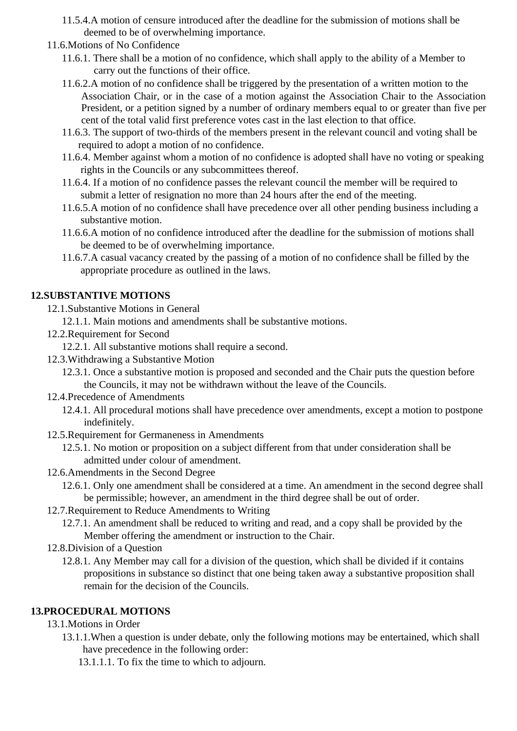- 11.5.4.A motion of censure introduced after the deadline for the submission of motions shall be deemed to be of overwhelming importance.
- 11.6.Motions of No Confidence
	- 11.6.1. There shall be a motion of no confidence, which shall apply to the ability of a Member to carry out the functions of their office.
	- 11.6.2.A motion of no confidence shall be triggered by the presentation of a written motion to the Association Chair, or in the case of a motion against the Association Chair to the Association President, or a petition signed by a number of ordinary members equal to or greater than five per cent of the total valid first preference votes cast in the last election to that office.
	- 11.6.3. The support of two-thirds of the members present in the relevant council and voting shall be required to adopt a motion of no confidence.
	- 11.6.4. Member against whom a motion of no confidence is adopted shall have no voting or speaking rights in the Councils or any subcommittees thereof.
	- 11.6.4. If a motion of no confidence passes the relevant council the member will be required to submit a letter of resignation no more than 24 hours after the end of the meeting.
	- 11.6.5.A motion of no confidence shall have precedence over all other pending business including a substantive motion.
	- 11.6.6.A motion of no confidence introduced after the deadline for the submission of motions shall be deemed to be of overwhelming importance.
	- 11.6.7.A casual vacancy created by the passing of a motion of no confidence shall be filled by the appropriate procedure as outlined in the laws.

### **12.SUBSTANTIVE MOTIONS**

- 12.1.Substantive Motions in General
	- 12.1.1. Main motions and amendments shall be substantive motions.
- 12.2.Requirement for Second
	- 12.2.1. All substantive motions shall require a second.
- 12.3.Withdrawing a Substantive Motion
	- 12.3.1. Once a substantive motion is proposed and seconded and the Chair puts the question before the Councils, it may not be withdrawn without the leave of the Councils.
- 12.4.Precedence of Amendments
	- 12.4.1. All procedural motions shall have precedence over amendments, except a motion to postpone indefinitely.
- 12.5.Requirement for Germaneness in Amendments
	- 12.5.1. No motion or proposition on a subject different from that under consideration shall be admitted under colour of amendment.
- 12.6.Amendments in the Second Degree
	- 12.6.1. Only one amendment shall be considered at a time. An amendment in the second degree shall be permissible; however, an amendment in the third degree shall be out of order.
- 12.7.Requirement to Reduce Amendments to Writing
	- 12.7.1. An amendment shall be reduced to writing and read, and a copy shall be provided by the Member offering the amendment or instruction to the Chair.
- 12.8.Division of a Question
	- 12.8.1. Any Member may call for a division of the question, which shall be divided if it contains propositions in substance so distinct that one being taken away a substantive proposition shall remain for the decision of the Councils.

#### **13.PROCEDURAL MOTIONS**

- 13.1.Motions in Order
	- 13.1.1.When a question is under debate, only the following motions may be entertained, which shall have precedence in the following order:
		- 13.1.1.1. To fix the time to which to adjourn.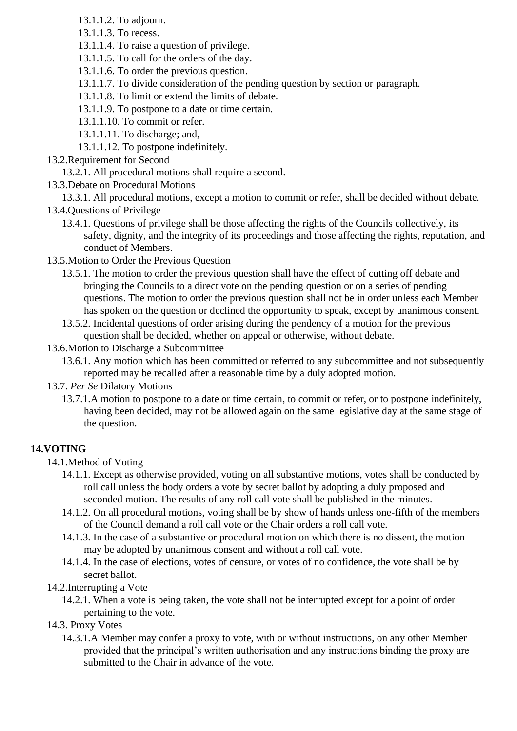- 13.1.1.2. To adjourn.
- 13.1.1.3. To recess.
- 13.1.1.4. To raise a question of privilege.
- 13.1.1.5. To call for the orders of the day.
- 13.1.1.6. To order the previous question.
- 13.1.1.7. To divide consideration of the pending question by section or paragraph.
- 13.1.1.8. To limit or extend the limits of debate.
- 13.1.1.9. To postpone to a date or time certain.
- 13.1.1.10. To commit or refer.
- 13.1.1.11. To discharge; and,
- 13.1.1.12. To postpone indefinitely.
- 13.2.Requirement for Second

### 13.2.1. All procedural motions shall require a second.

13.3.Debate on Procedural Motions

13.3.1. All procedural motions, except a motion to commit or refer, shall be decided without debate.

- 13.4.Questions of Privilege
	- 13.4.1. Questions of privilege shall be those affecting the rights of the Councils collectively, its safety, dignity, and the integrity of its proceedings and those affecting the rights, reputation, and conduct of Members.
- 13.5.Motion to Order the Previous Question
	- 13.5.1. The motion to order the previous question shall have the effect of cutting off debate and bringing the Councils to a direct vote on the pending question or on a series of pending questions. The motion to order the previous question shall not be in order unless each Member has spoken on the question or declined the opportunity to speak, except by unanimous consent.
	- 13.5.2. Incidental questions of order arising during the pendency of a motion for the previous question shall be decided, whether on appeal or otherwise, without debate.
- 13.6.Motion to Discharge a Subcommittee
	- 13.6.1. Any motion which has been committed or referred to any subcommittee and not subsequently reported may be recalled after a reasonable time by a duly adopted motion.

#### 13.7. *Per Se* Dilatory Motions

13.7.1.A motion to postpone to a date or time certain, to commit or refer, or to postpone indefinitely, having been decided, may not be allowed again on the same legislative day at the same stage of the question.

## **14.VOTING**

- 14.1.Method of Voting
	- 14.1.1. Except as otherwise provided, voting on all substantive motions, votes shall be conducted by roll call unless the body orders a vote by secret ballot by adopting a duly proposed and seconded motion. The results of any roll call vote shall be published in the minutes.
	- 14.1.2. On all procedural motions, voting shall be by show of hands unless one-fifth of the members of the Council demand a roll call vote or the Chair orders a roll call vote.
	- 14.1.3. In the case of a substantive or procedural motion on which there is no dissent, the motion may be adopted by unanimous consent and without a roll call vote.
	- 14.1.4. In the case of elections, votes of censure, or votes of no confidence, the vote shall be by secret ballot.
- 14.2.Interrupting a Vote
	- 14.2.1. When a vote is being taken, the vote shall not be interrupted except for a point of order pertaining to the vote.
- 14.3. Proxy Votes
	- 14.3.1.A Member may confer a proxy to vote, with or without instructions, on any other Member provided that the principal's written authorisation and any instructions binding the proxy are submitted to the Chair in advance of the vote.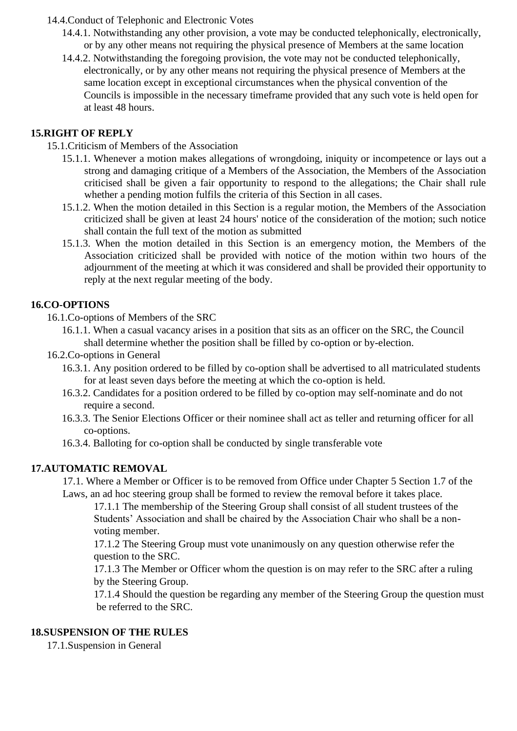#### 14.4.Conduct of Telephonic and Electronic Votes

- 14.4.1. Notwithstanding any other provision, a vote may be conducted telephonically, electronically, or by any other means not requiring the physical presence of Members at the same location
- 14.4.2. Notwithstanding the foregoing provision, the vote may not be conducted telephonically, electronically, or by any other means not requiring the physical presence of Members at the same location except in exceptional circumstances when the physical convention of the Councils is impossible in the necessary timeframe provided that any such vote is held open for at least 48 hours.

### **15.RIGHT OF REPLY**

15.1.Criticism of Members of the Association

- 15.1.1. Whenever a motion makes allegations of wrongdoing, iniquity or incompetence or lays out a strong and damaging critique of a Members of the Association, the Members of the Association criticised shall be given a fair opportunity to respond to the allegations; the Chair shall rule whether a pending motion fulfils the criteria of this Section in all cases.
- 15.1.2. When the motion detailed in this Section is a regular motion, the Members of the Association criticized shall be given at least 24 hours' notice of the consideration of the motion; such notice shall contain the full text of the motion as submitted
- 15.1.3. When the motion detailed in this Section is an emergency motion, the Members of the Association criticized shall be provided with notice of the motion within two hours of the adjournment of the meeting at which it was considered and shall be provided their opportunity to reply at the next regular meeting of the body.

### **16.CO-OPTIONS**

16.1.Co-options of Members of the SRC

- 16.1.1. When a casual vacancy arises in a position that sits as an officer on the SRC, the Council shall determine whether the position shall be filled by co-option or by-election.
- 16.2.Co-options in General
	- 16.3.1. Any position ordered to be filled by co-option shall be advertised to all matriculated students for at least seven days before the meeting at which the co-option is held.
	- 16.3.2. Candidates for a position ordered to be filled by co-option may self-nominate and do not require a second.
	- 16.3.3. The Senior Elections Officer or their nominee shall act as teller and returning officer for all co-options.
	- 16.3.4. Balloting for co-option shall be conducted by single transferable vote

## **17.AUTOMATIC REMOVAL**

17.1. Where a Member or Officer is to be removed from Office under Chapter 5 Section 1.7 of the Laws, an ad hoc steering group shall be formed to review the removal before it takes place.

17.1.1 The membership of the Steering Group shall consist of all student trustees of the Students' Association and shall be chaired by the Association Chair who shall be a nonvoting member.

17.1.2 The Steering Group must vote unanimously on any question otherwise refer the question to the SRC.

17.1.3 The Member or Officer whom the question is on may refer to the SRC after a ruling by the Steering Group.

17.1.4 Should the question be regarding any member of the Steering Group the question must be referred to the SRC.

### **18.SUSPENSION OF THE RULES**

17.1.Suspension in General